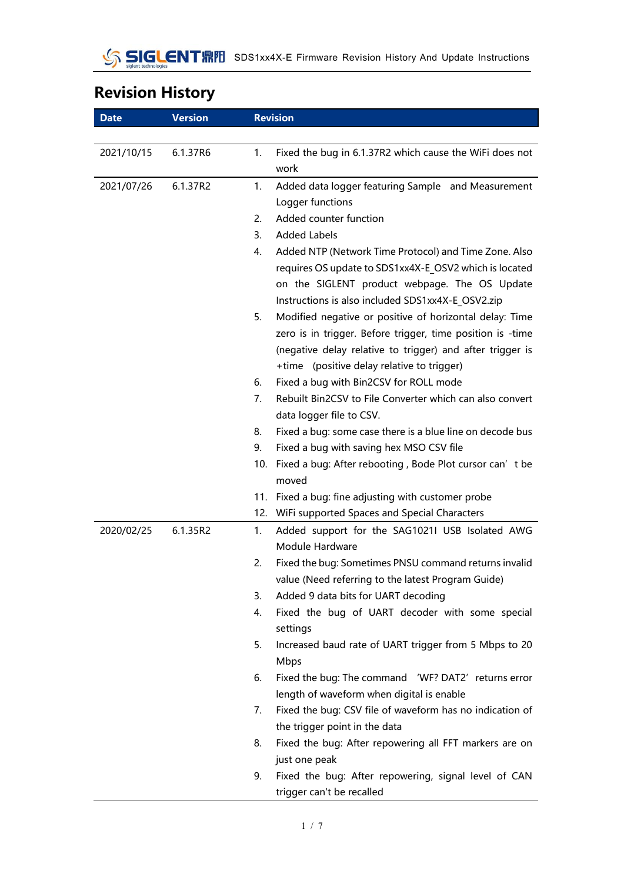# **Revision History**

| <b>Date</b> | <b>Version</b> |     | <b>Revision</b>                                              |
|-------------|----------------|-----|--------------------------------------------------------------|
|             |                |     |                                                              |
| 2021/10/15  | 6.1.37R6       | 1.  | Fixed the bug in 6.1.37R2 which cause the WiFi does not      |
|             |                |     | work                                                         |
| 2021/07/26  | 6.1.37R2       | 1.  | Added data logger featuring Sample and Measurement           |
|             |                |     | Logger functions                                             |
|             |                | 2.  | Added counter function                                       |
|             |                | 3.  | <b>Added Labels</b>                                          |
|             |                | 4.  | Added NTP (Network Time Protocol) and Time Zone. Also        |
|             |                |     | requires OS update to SDS1xx4X-E OSV2 which is located       |
|             |                |     | on the SIGLENT product webpage. The OS Update                |
|             |                |     | Instructions is also included SDS1xx4X-E OSV2.zip            |
|             |                | 5.  | Modified negative or positive of horizontal delay: Time      |
|             |                |     | zero is in trigger. Before trigger, time position is -time   |
|             |                |     | (negative delay relative to trigger) and after trigger is    |
|             |                |     | +time (positive delay relative to trigger)                   |
|             |                | 6.  | Fixed a bug with Bin2CSV for ROLL mode                       |
|             |                | 7.  | Rebuilt Bin2CSV to File Converter which can also convert     |
|             |                |     | data logger file to CSV.                                     |
|             |                | 8.  | Fixed a bug: some case there is a blue line on decode bus    |
|             |                | 9.  | Fixed a bug with saving hex MSO CSV file                     |
|             |                | 10. | Fixed a bug: After rebooting, Bode Plot cursor can' t be     |
|             |                |     | moved<br>11. Fixed a bug: fine adjusting with customer probe |
|             |                | 12. | WiFi supported Spaces and Special Characters                 |
| 2020/02/25  | 6.1.35R2       | 1.  | Added support for the SAG1021I USB Isolated AWG              |
|             |                |     | Module Hardware                                              |
|             |                | 2.  | Fixed the bug: Sometimes PNSU command returns invalid        |
|             |                |     | value (Need referring to the latest Program Guide)           |
|             |                | 3.  | Added 9 data bits for UART decoding                          |
|             |                | 4.  | Fixed the bug of UART decoder with some special              |
|             |                |     | settings                                                     |
|             |                | 5.  | Increased baud rate of UART trigger from 5 Mbps to 20        |
|             |                |     | Mbps                                                         |
|             |                | 6.  | Fixed the bug: The command 'WF? DAT2' returns error          |
|             |                |     | length of waveform when digital is enable                    |
|             |                | 7.  | Fixed the bug: CSV file of waveform has no indication of     |
|             |                |     | the trigger point in the data                                |
|             |                | 8.  | Fixed the bug: After repowering all FFT markers are on       |
|             |                |     | just one peak                                                |
|             |                | 9.  | Fixed the bug: After repowering, signal level of CAN         |
|             |                |     | trigger can't be recalled                                    |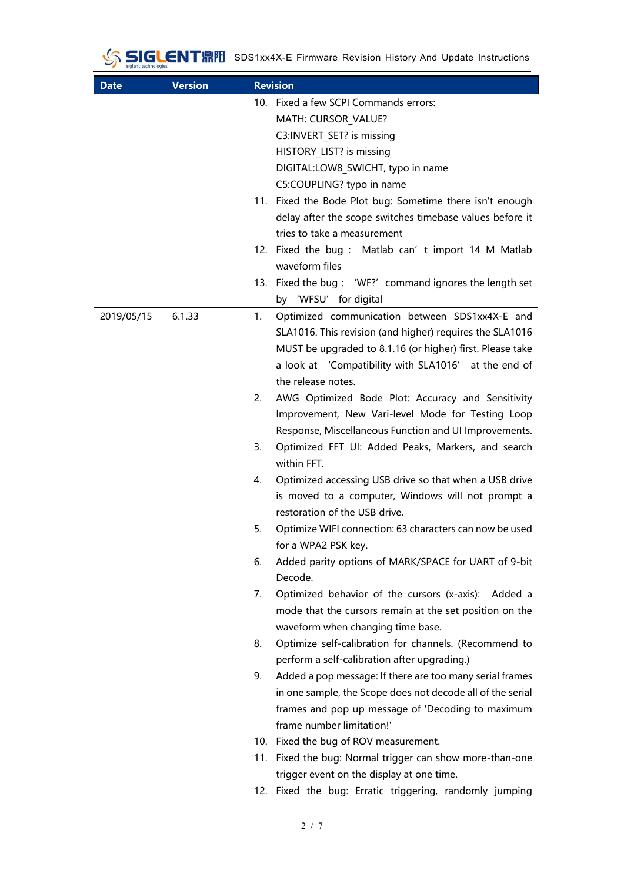### SIGLENT RIVE SDS1xx4X-E Firmware Revision History And Update Instructions

| <b>Date</b> | <b>Version</b> |                | <b>Revision</b>                                                                                      |
|-------------|----------------|----------------|------------------------------------------------------------------------------------------------------|
|             |                |                | 10. Fixed a few SCPI Commands errors:                                                                |
|             |                |                | MATH: CURSOR VALUE?                                                                                  |
|             |                |                | C3:INVERT_SET? is missing                                                                            |
|             |                |                | HISTORY LIST? is missing                                                                             |
|             |                |                | DIGITAL:LOW8 SWICHT, typo in name                                                                    |
|             |                |                | C5:COUPLING? typo in name                                                                            |
|             |                |                | 11. Fixed the Bode Plot bug: Sometime there isn't enough                                             |
|             |                |                | delay after the scope switches timebase values before it                                             |
|             |                |                | tries to take a measurement                                                                          |
|             |                |                | 12. Fixed the bug: Matlab can' t import 14 M Matlab<br>waveform files                                |
|             |                |                | 13. Fixed the bug: 'WF?' command ignores the length set                                              |
|             |                |                | by 'WFSU' for digital                                                                                |
| 2019/05/15  | 6.1.33         | $\mathbf{1}$ . | Optimized communication between SDS1xx4X-E and                                                       |
|             |                |                | SLA1016. This revision (and higher) requires the SLA1016                                             |
|             |                |                | MUST be upgraded to 8.1.16 (or higher) first. Please take                                            |
|             |                |                | a look at 'Compatibility with SLA1016' at the end of                                                 |
|             |                |                | the release notes.                                                                                   |
|             |                | 2.             | AWG Optimized Bode Plot: Accuracy and Sensitivity                                                    |
|             |                |                | Improvement, New Vari-level Mode for Testing Loop                                                    |
|             |                |                | Response, Miscellaneous Function and UI Improvements.                                                |
|             |                | 3.             | Optimized FFT UI: Added Peaks, Markers, and search                                                   |
|             |                |                | within FFT.                                                                                          |
|             |                | 4.             | Optimized accessing USB drive so that when a USB drive                                               |
|             |                |                | is moved to a computer, Windows will not prompt a                                                    |
|             |                |                | restoration of the USB drive.                                                                        |
|             |                | 5.             | Optimize WIFI connection: 63 characters can now be used                                              |
|             |                |                | for a WPA2 PSK key.                                                                                  |
|             |                | 6.             | Added parity options of MARK/SPACE for UART of 9-bit                                                 |
|             |                |                | Decode.                                                                                              |
|             |                | 7.             | Optimized behavior of the cursors (x-axis): Added a                                                  |
|             |                |                | mode that the cursors remain at the set position on the                                              |
|             |                |                | waveform when changing time base.                                                                    |
|             |                | 8.             | Optimize self-calibration for channels. (Recommend to                                                |
|             |                |                | perform a self-calibration after upgrading.)                                                         |
|             |                | 9.             | Added a pop message: If there are too many serial frames                                             |
|             |                |                | in one sample, the Scope does not decode all of the serial                                           |
|             |                |                | frames and pop up message of 'Decoding to maximum                                                    |
|             |                |                | frame number limitation!'                                                                            |
|             |                |                | 10. Fixed the bug of ROV measurement.                                                                |
|             |                |                | 11. Fixed the bug: Normal trigger can show more-than-one                                             |
|             |                |                | trigger event on the display at one time.<br>12. Fixed the bug: Erratic triggering, randomly jumping |
|             |                |                |                                                                                                      |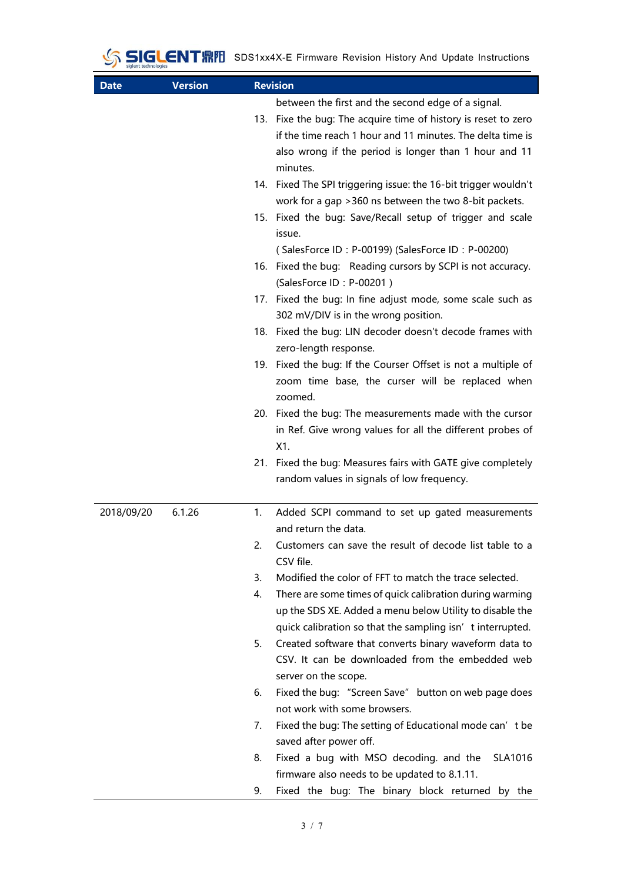# SIGLENT FINE SDS1xx4X-E Firmware Revision History And Update Instructions

| <b>Date</b> | <b>Version</b> |    | <b>Revision</b>                                                                                                                                                                                                                                         |
|-------------|----------------|----|---------------------------------------------------------------------------------------------------------------------------------------------------------------------------------------------------------------------------------------------------------|
|             |                |    | between the first and the second edge of a signal.<br>13. Fixe the bug: The acquire time of history is reset to zero<br>if the time reach 1 hour and 11 minutes. The delta time is<br>also wrong if the period is longer than 1 hour and 11<br>minutes. |
|             |                |    | 14. Fixed The SPI triggering issue: the 16-bit trigger wouldn't<br>work for a gap > 360 ns between the two 8-bit packets.                                                                                                                               |
|             |                |    | 15. Fixed the bug: Save/Recall setup of trigger and scale<br>issue.                                                                                                                                                                                     |
|             |                |    | (SalesForce ID: P-00199) (SalesForce ID: P-00200)<br>16. Fixed the bug: Reading cursors by SCPI is not accuracy.<br>(SalesForce ID: P-00201)                                                                                                            |
|             |                |    | 17. Fixed the bug: In fine adjust mode, some scale such as<br>302 mV/DIV is in the wrong position.                                                                                                                                                      |
|             |                |    | 18. Fixed the bug: LIN decoder doesn't decode frames with<br>zero-length response.                                                                                                                                                                      |
|             |                |    | 19. Fixed the bug: If the Courser Offset is not a multiple of<br>zoom time base, the curser will be replaced when<br>zoomed.                                                                                                                            |
|             |                |    | 20. Fixed the bug: The measurements made with the cursor<br>in Ref. Give wrong values for all the different probes of<br>X1.                                                                                                                            |
|             |                |    | 21. Fixed the bug: Measures fairs with GATE give completely<br>random values in signals of low frequency.                                                                                                                                               |
| 2018/09/20  | 6.1.26         | 1. | Added SCPI command to set up gated measurements<br>and return the data.                                                                                                                                                                                 |
|             |                | 2. | Customers can save the result of decode list table to a<br>CSV file.                                                                                                                                                                                    |
|             |                | 3. | Modified the color of FFT to match the trace selected.                                                                                                                                                                                                  |
|             |                | 4. | There are some times of quick calibration during warming<br>up the SDS XE. Added a menu below Utility to disable the<br>quick calibration so that the sampling isn' t interrupted.                                                                      |
|             |                | 5. | Created software that converts binary waveform data to<br>CSV. It can be downloaded from the embedded web<br>server on the scope.                                                                                                                       |
|             |                | 6. | Fixed the bug: "Screen Save" button on web page does<br>not work with some browsers.                                                                                                                                                                    |
|             |                | 7. | Fixed the bug: The setting of Educational mode can' t be<br>saved after power off.                                                                                                                                                                      |
|             |                | 8. | Fixed a bug with MSO decoding. and the<br>SLA1016<br>firmware also needs to be updated to 8.1.11.                                                                                                                                                       |
|             |                | 9. | Fixed the bug: The binary block returned by the                                                                                                                                                                                                         |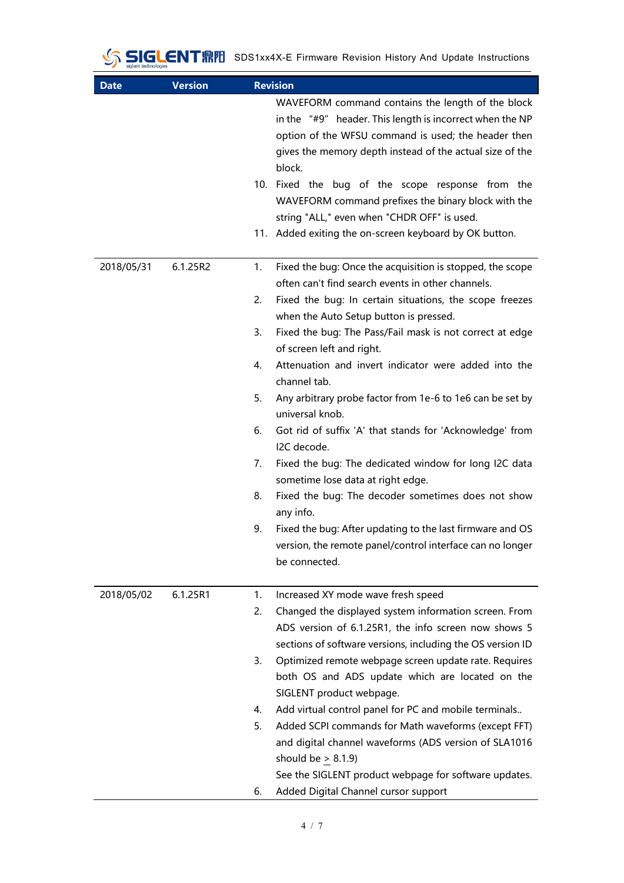# SIGLENTRIPI SDS1xx4X-E Firmware Revision History And Update Instructions

| <b>Date</b> | <b>Version</b> | <b>Revision</b>                                                         |
|-------------|----------------|-------------------------------------------------------------------------|
|             |                | WAVEFORM command contains the length of the block                       |
|             |                | in the "#9" header. This length is incorrect when the NP                |
|             |                | option of the WFSU command is used; the header then                     |
|             |                | gives the memory depth instead of the actual size of the                |
|             |                | block.                                                                  |
|             |                | 10. Fixed the bug of the scope response from the                        |
|             |                | WAVEFORM command prefixes the binary block with the                     |
|             |                | string "ALL," even when "CHDR OFF" is used.                             |
|             |                | 11. Added exiting the on-screen keyboard by OK button.                  |
| 2018/05/31  | 6.1.25R2       | Fixed the bug: Once the acquisition is stopped, the scope<br>1.         |
|             |                | often can't find search events in other channels.                       |
|             |                | 2.<br>Fixed the bug: In certain situations, the scope freezes           |
|             |                | when the Auto Setup button is pressed.                                  |
|             |                | Fixed the bug: The Pass/Fail mask is not correct at edge<br>3.          |
|             |                | of screen left and right.                                               |
|             |                | Attenuation and invert indicator were added into the<br>4.              |
|             |                | channel tab.                                                            |
|             |                | Any arbitrary probe factor from 1e-6 to 1e6 can be set by<br>5.         |
|             |                | universal knob.<br>6.                                                   |
|             |                | Got rid of suffix 'A' that stands for 'Acknowledge' from<br>I2C decode. |
|             |                | Fixed the bug: The dedicated window for long I2C data<br>7.             |
|             |                | sometime lose data at right edge.                                       |
|             |                | Fixed the bug: The decoder sometimes does not show<br>8.                |
|             |                | any info.                                                               |
|             |                | Fixed the bug: After updating to the last firmware and OS<br>9.         |
|             |                | version, the remote panel/control interface can no longer               |
|             |                | be connected.                                                           |
| 2018/05/02  | 6.1.25R1       | Increased XY mode wave fresh speed<br>1.                                |
|             |                | 2.<br>Changed the displayed system information screen. From             |
|             |                | ADS version of 6.1.25R1, the info screen now shows 5                    |
|             |                | sections of software versions, including the OS version ID              |
|             |                | 3.<br>Optimized remote webpage screen update rate. Requires             |
|             |                | both OS and ADS update which are located on the                         |
|             |                | SIGLENT product webpage.                                                |
|             |                | Add virtual control panel for PC and mobile terminals<br>4.             |
|             |                | 5.<br>Added SCPI commands for Math waveforms (except FFT)               |
|             |                | and digital channel waveforms (ADS version of SLA1016                   |
|             |                | should be $\geq$ 8.1.9)                                                 |
|             |                | See the SIGLENT product webpage for software updates.                   |
|             |                | Added Digital Channel cursor support<br>6.                              |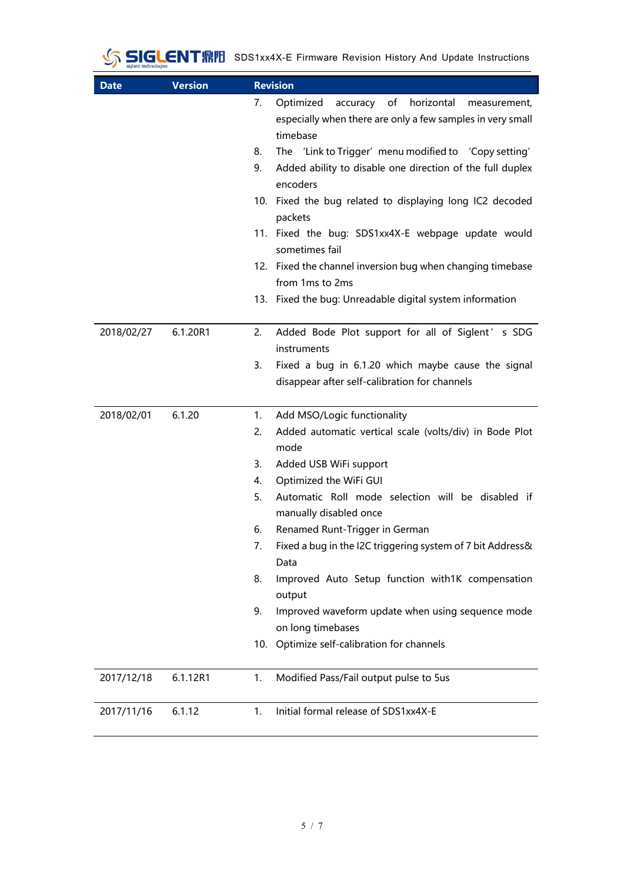# SIGLENTRIPI SDS1xx4X-E Firmware Revision History And Update Instructions

| <b>Date</b> | <b>Version</b> | <b>Revision</b>                                                                                                                                                                                          |
|-------------|----------------|----------------------------------------------------------------------------------------------------------------------------------------------------------------------------------------------------------|
|             |                | horizontal<br>Optimized<br>of<br>7.<br>accuracy<br>measurement,<br>especially when there are only a few samples in very small<br>timebase<br>The 'Link to Trigger' menu modified to 'Copy setting'<br>8. |
|             |                | Added ability to disable one direction of the full duplex<br>9.<br>encoders                                                                                                                              |
|             |                | 10. Fixed the bug related to displaying long IC2 decoded<br>packets                                                                                                                                      |
|             |                | 11. Fixed the bug: SDS1xx4X-E webpage update would<br>sometimes fail                                                                                                                                     |
|             |                | 12. Fixed the channel inversion bug when changing timebase<br>from 1ms to 2ms                                                                                                                            |
|             |                | 13. Fixed the bug: Unreadable digital system information                                                                                                                                                 |
| 2018/02/27  | 6.1.20R1       | 2.<br>Added Bode Plot support for all of Siglent' s SDG<br>instruments                                                                                                                                   |
|             |                | Fixed a bug in 6.1.20 which maybe cause the signal<br>3.<br>disappear after self-calibration for channels                                                                                                |
| 2018/02/01  | 6.1.20         | Add MSO/Logic functionality<br>1.                                                                                                                                                                        |
|             |                | Added automatic vertical scale (volts/div) in Bode Plot<br>2.<br>mode                                                                                                                                    |
|             |                | 3.<br>Added USB WiFi support                                                                                                                                                                             |
|             |                | Optimized the WiFi GUI<br>4.                                                                                                                                                                             |
|             |                | Automatic Roll mode selection will be disabled if<br>5.<br>manually disabled once                                                                                                                        |
|             |                | Renamed Runt-Trigger in German<br>6.                                                                                                                                                                     |
|             |                | Fixed a bug in the I2C triggering system of 7 bit Address&<br>7.<br>Data                                                                                                                                 |
|             |                | 8.<br>Improved Auto Setup function with1K compensation<br>output                                                                                                                                         |
|             |                | Improved waveform update when using sequence mode<br>9.<br>on long timebases                                                                                                                             |
|             |                | Optimize self-calibration for channels<br>10.                                                                                                                                                            |
| 2017/12/18  | 6.1.12R1       | Modified Pass/Fail output pulse to 5us<br>1.                                                                                                                                                             |
| 2017/11/16  | 6.1.12         | 1.<br>Initial formal release of SDS1xx4X-E                                                                                                                                                               |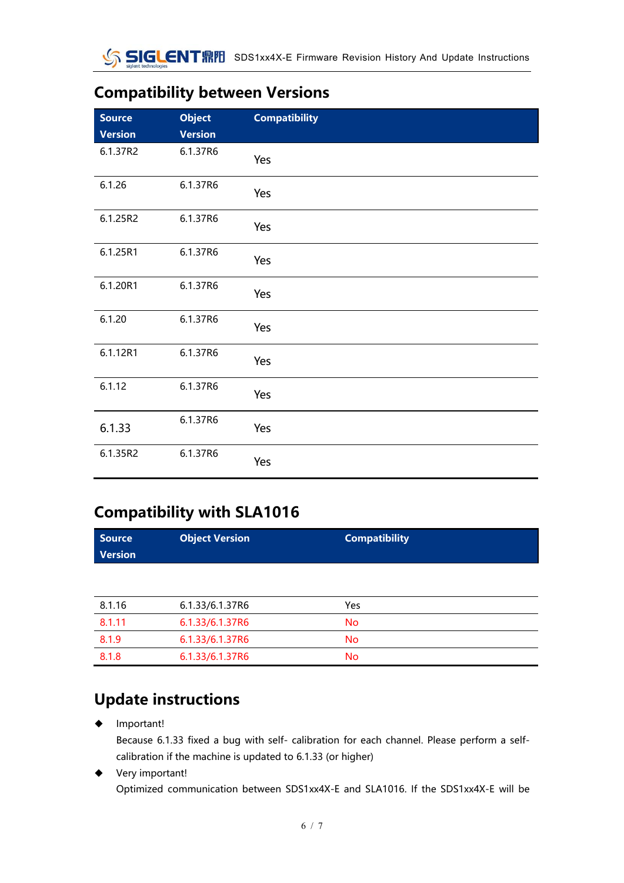#### **Compatibility between Versions**

| <b>Source</b><br><b>Version</b> | <b>Object</b><br><b>Version</b> | <b>Compatibility</b> |
|---------------------------------|---------------------------------|----------------------|
| 6.1.37R2                        | 6.1.37R6                        | Yes                  |
| 6.1.26                          | 6.1.37R6                        | Yes                  |
| 6.1.25R2                        | 6.1.37R6                        | Yes                  |
| 6.1.25R1                        | 6.1.37R6                        | Yes                  |
| 6.1.20R1                        | 6.1.37R6                        | Yes                  |
| 6.1.20                          | 6.1.37R6                        | Yes                  |
| 6.1.12R1                        | 6.1.37R6                        | Yes                  |
| 6.1.12                          | 6.1.37R6                        | Yes                  |
| 6.1.33                          | 6.1.37R6                        | Yes                  |
| 6.1.35R2                        | 6.1.37R6                        | Yes                  |

#### **Compatibility with SLA1016**

| <b>Source</b><br><b>Version</b> | <b>Object Version</b> | <b>Compatibility</b> |
|---------------------------------|-----------------------|----------------------|
|                                 |                       |                      |

| 8.1.16 | 6.1.33/6.1.37R6 | Yes |  |
|--------|-----------------|-----|--|
| 8.1.11 | 6.1.33/6.1.37R6 | No  |  |
| 8.1.9  | 6.1.33/6.1.37R6 | No  |  |
| 8.1.8  | 6.1.33/6.1.37R6 | No  |  |

#### **Update instructions**

◆ Important!

Because 6.1.33 fixed a bug with self- calibration for each channel. Please perform a selfcalibration if the machine is updated to 6.1.33 (or higher)

◆ Very important! Optimized communication between SDS1xx4X-E and SLA1016. If the SDS1xx4X-E will be